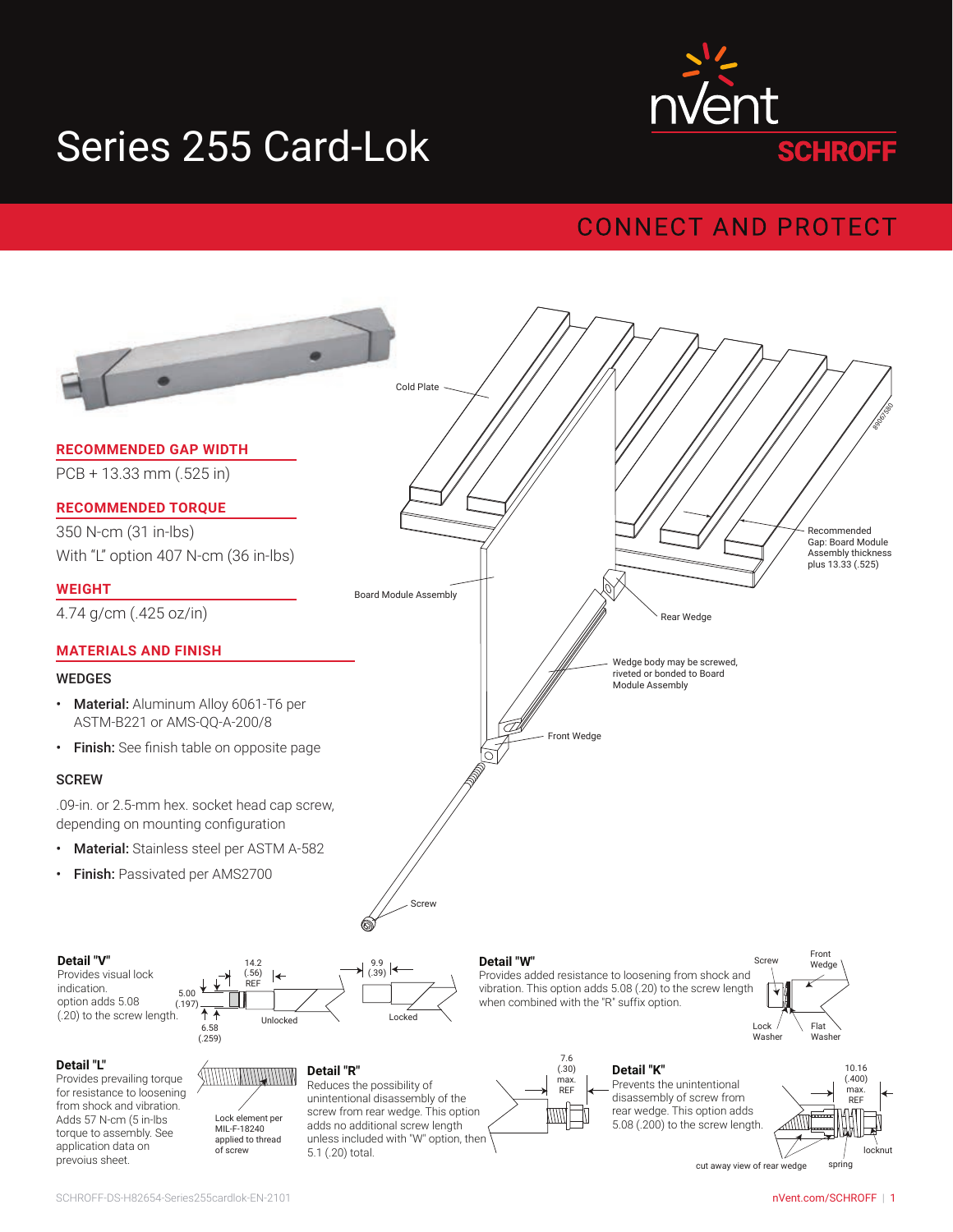# Series 255 Card-Lok



### **CONNECT AND PROTECT**